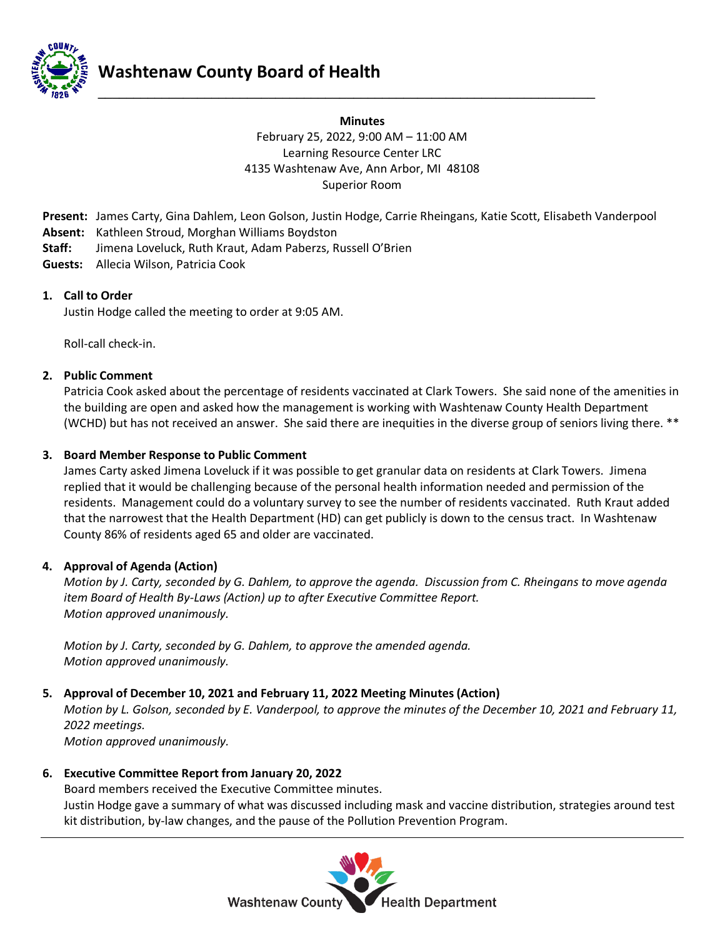

# **Minutes** February 25, 2022, 9:00 AM – 11:00 AM Learning Resource Center LRC 4135 Washtenaw Ave, Ann Arbor, MI 48108 Superior Room

**Present:** James Carty, Gina Dahlem, Leon Golson, Justin Hodge, Carrie Rheingans, Katie Scott, Elisabeth Vanderpool **Absent:** Kathleen Stroud, Morghan Williams Boydston

**\_\_\_\_\_\_\_\_\_\_\_\_\_\_\_\_\_\_\_\_\_\_\_\_\_\_\_\_\_\_\_\_\_\_\_\_\_\_\_\_\_\_\_\_\_\_\_\_\_\_\_\_\_\_\_\_\_\_\_\_\_\_\_\_\_\_\_\_\_\_**

- **Staff:** Jimena Loveluck, Ruth Kraut, Adam Paberzs, Russell O'Brien
- **Guests:** Allecia Wilson, Patricia Cook

# **1. Call to Order**

Justin Hodge called the meeting to order at 9:05 AM.

Roll-call check-in.

# **2. Public Comment**

Patricia Cook asked about the percentage of residents vaccinated at Clark Towers. She said none of the amenities in the building are open and asked how the management is working with Washtenaw County Health Department (WCHD) but has not received an answer. She said there are inequities in the diverse group of seniors living there. \*\*

# **3. Board Member Response to Public Comment**

James Carty asked Jimena Loveluck if it was possible to get granular data on residents at Clark Towers. Jimena replied that it would be challenging because of the personal health information needed and permission of the residents. Management could do a voluntary survey to see the number of residents vaccinated. Ruth Kraut added that the narrowest that the Health Department (HD) can get publicly is down to the census tract. In Washtenaw County 86% of residents aged 65 and older are vaccinated.

#### **4. Approval of Agenda (Action)**

*Motion by J. Carty, seconded by G. Dahlem, to approve the agenda. Discussion from C. Rheingans to move agenda item Board of Health By-Laws (Action) up to after Executive Committee Report. Motion approved unanimously.*

*Motion by J. Carty, seconded by G. Dahlem, to approve the amended agenda. Motion approved unanimously.*

# **5. Approval of December 10, 2021 and February 11, 2022 Meeting Minutes (Action)**

*Motion by L. Golson, seconded by E. Vanderpool, to approve the minutes of the December 10, 2021 and February 11, 2022 meetings.*

*Motion approved unanimously.*

# **6. Executive Committee Report from January 20, 2022**

Board members received the Executive Committee minutes. Justin Hodge gave a summary of what was discussed including mask and vaccine distribution, strategies around test kit distribution, by-law changes, and the pause of the Pollution Prevention Program.

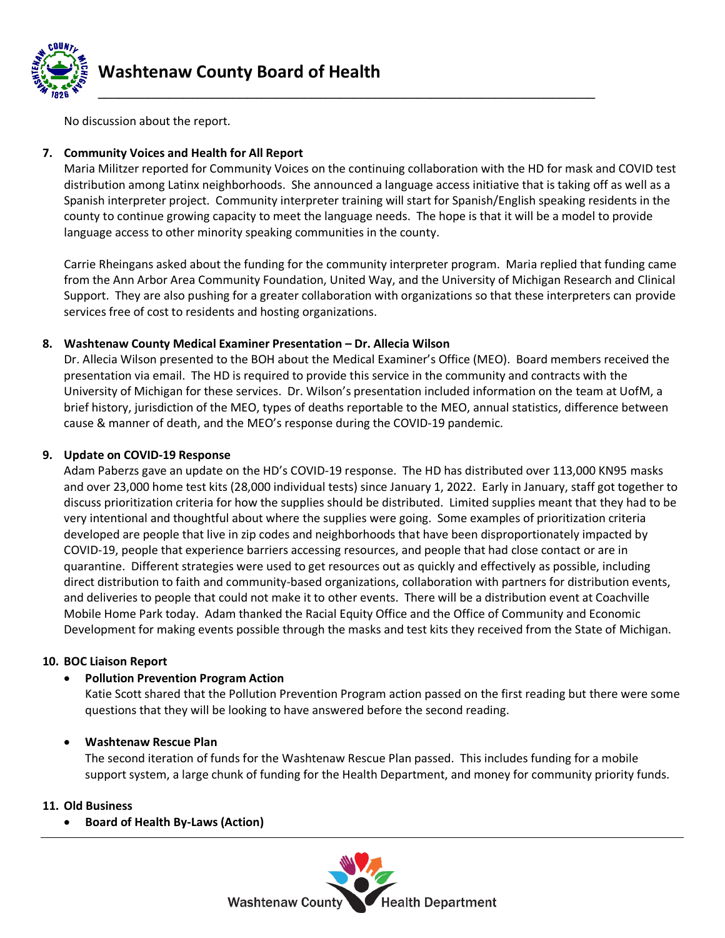

**Washtenaw County Board of Health**

No discussion about the report.

# **7. Community Voices and Health for All Report**

Maria Militzer reported for Community Voices on the continuing collaboration with the HD for mask and COVID test distribution among Latinx neighborhoods. She announced a language access initiative that is taking off as well as a Spanish interpreter project. Community interpreter training will start for Spanish/English speaking residents in the county to continue growing capacity to meet the language needs. The hope is that it will be a model to provide language access to other minority speaking communities in the county.

Carrie Rheingans asked about the funding for the community interpreter program. Maria replied that funding came from the Ann Arbor Area Community Foundation, United Way, and the University of Michigan Research and Clinical Support. They are also pushing for a greater collaboration with organizations so that these interpreters can provide services free of cost to residents and hosting organizations.

# **8. Washtenaw County Medical Examiner Presentation – Dr. Allecia Wilson**

Dr. Allecia Wilson presented to the BOH about the Medical Examiner's Office (MEO). Board members received the presentation via email. The HD is required to provide this service in the community and contracts with the University of Michigan for these services. Dr. Wilson's presentation included information on the team at UofM, a brief history, jurisdiction of the MEO, types of deaths reportable to the MEO, annual statistics, difference between cause & manner of death, and the MEO's response during the COVID-19 pandemic.

# **9. Update on COVID-19 Response**

Adam Paberzs gave an update on the HD's COVID-19 response. The HD has distributed over 113,000 KN95 masks and over 23,000 home test kits (28,000 individual tests) since January 1, 2022. Early in January, staff got together to discuss prioritization criteria for how the supplies should be distributed. Limited supplies meant that they had to be very intentional and thoughtful about where the supplies were going. Some examples of prioritization criteria developed are people that live in zip codes and neighborhoods that have been disproportionately impacted by COVID-19, people that experience barriers accessing resources, and people that had close contact or are in quarantine. Different strategies were used to get resources out as quickly and effectively as possible, including direct distribution to faith and community-based organizations, collaboration with partners for distribution events, and deliveries to people that could not make it to other events. There will be a distribution event at Coachville Mobile Home Park today. Adam thanked the Racial Equity Office and the Office of Community and Economic Development for making events possible through the masks and test kits they received from the State of Michigan.

#### **10. BOC Liaison Report**

#### • **Pollution Prevention Program Action**

Katie Scott shared that the Pollution Prevention Program action passed on the first reading but there were some questions that they will be looking to have answered before the second reading.

#### • **Washtenaw Rescue Plan**

The second iteration of funds for the Washtenaw Rescue Plan passed. This includes funding for a mobile support system, a large chunk of funding for the Health Department, and money for community priority funds.

#### **11. Old Business**

• **Board of Health By-Laws (Action)**